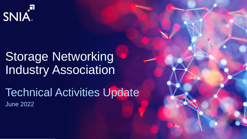

# Storage Networking Industry Association

Technical Activities Update June 2022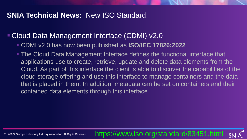#### **SNIA Technical News:** New ISO Standard

#### **E Cloud Data Management Interface (CDMI) v2.0**

- CDMI v2.0 has now been published as **ISO/IEC 17826:2022**
- The Cloud Data Management Interface defines the functional interface that applications use to create, retrieve, update and delete data elements from the Cloud. As part of this interface the client is able to discover the capabilities of the cloud storage offering and use this interface to manage containers and the data that is placed in them. In addition, metadata can be set on containers and their contained data elements through this interface.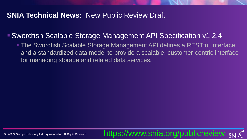#### **SNIA Technical News:** New Public Review Draft

#### ▪ Swordfish Scalable Storage Management API Specification v1.2.4

■ The Swordfish Scalable Storage Management API defines a RESTful interface and a standardized data model to provide a scalable, customer-centric interface for managing storage and related data services.

https://www.snia.org/publicreview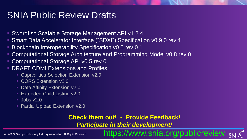## SNIA Public Review Drafts

- Swordfish Scalable Storage Management API v1.2.4
- Smart Data Accelerator Interface ("SDXI") Specification v0.9.0 rev 1
- Blockchain Interoperability Specification v0.5 rev 0.1
- Computational Storage Architecture and Programming Model v0.8 rev 0
- Computational Storage API v0.5 rev 0
- **DRAFT CDMI Extensions and Profiles** 
	- Capabilities Selection Extension v2.0
	- CORS Extension v2.0
	- **Data Affinity Extension v2.0**
	- **Extended Child Listing v2.0**
	- $\overline{10008}$  v2.0
	- **Partial Upload Extension v2.0**

#### **Check them out! - Provide Feedback!**

*Participate in their development!*

www.snia.org/publicreview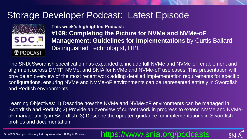## Storage Developer Podcast: Latest Episode



**This week's highlighted Podcast: #169: Completing the Picture for NVMe and NVMe-oF Management: Guidelines for Implementations** by Curtis Ballard, Distinguished Technologist, HPE

The SNIA Swordfish specification has expanded to include full NVMe and NVMe-oF enablement and alignment across DMTF, NVMe, and SNIA for NVMe and NVMe-oF use cases. This presentation will provide an overview of the most recent work adding detailed implementation requirements for specific configurations, ensuring NVMe and NVMe-oF environments can be represented entirely in Swordfish and Redfish environments.

Learning Objectives: 1) Describe how the NVMe and NVMe-oF environments can be managed in Swordfish and Redfish; 2) Provide an overview of current work in progress to extend NVMe and NVMeoF manageability in Swordfish; 3) Describe the updated guidance for implementations in Swordfish profiles and documentation.

5 | ©2022 Storage Networking Industry Association. All Rights Reserved.

#### https://www.snia.org/podcasts

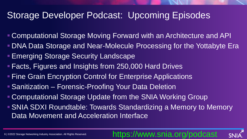## Storage Developer Podcast: Upcoming Episodes

- Computational Storage Moving Forward with an Architecture and API
- DNA Data Storage and Near-Molecule Processing for the Yottabyte Era
- **Emerging Storage Security Landscape**
- Facts, Figures and Insights from 250,000 Hard Drives
- **Fine Grain Encryption Control for Enterprise Applications**
- **E** Sanitization Forensic-Proofing Your Data Deletion
- Computational Storage Update from the SNIA Working Group
- SNIA SDXI Roundtable: Towards Standardizing a Memory to Memory Data Movement and Acceleration Interface

## https://www.snia.org/podcast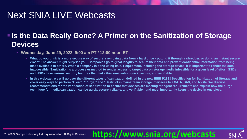## Next SNIA LIVE Webcasts

#### **. Is the Data Really Gone? A Primer on the Sanitization of Storage Devices**

▪ **Wednesday, June 29, 2022. 9:00 am PT / 12:00 noon ET**

- What do you think is a more secure way of securely removing data from a hard drive putting it through a shredder, or doing an instant secure **erase? The answer might surprise you! Companies go to great lengths to secure their data and prevent confidential information from being made available to others. When a company is done using its ICT equipment, including the storage device, it is important to render the data inaccessible. Sanitization is a process or method to render access to target data on storage media infeasible for a given level of effort. SSDs and HDDs have various security features that make this sanitization quick, secure, and verifiable.**
- In this webcast, we will go over the different types of sanitization defined in the new IEEE P2883 Specification for Sanitization of Storage and **cover easy ways to perform "Clear", "Purge," and "Destruct in mainstream storage interfaces like SATA, SAS, and NVMe. We discuss recommendations for the verification of sanitization to ensure that devices are meeting stringent requirements and explain how the purge technique for media sanitization can be quick, secure, reliable, and verifiable - and most importantly keeps the device in one piece.**

**https://www.snia.org/webcasts**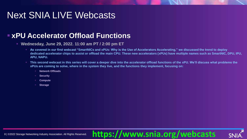## Next SNIA LIVE Webcasts

#### ■ **xPU** Accelerator Offload Functions

- **Wednesday, June 29, 2022. 11:00 am PT / 2:00 pm ET**
	- As covered in our first webcast "SmartNICs and xPUs: Why is the Use of Accelerators Accelerating," we discussed the trend to deploy **dedicated accelerator chips to assist or offload the main CPU. These new accelerators (xPUs) have multiple names such as SmartNIC, DPU, IPU, APU, NAPU.**
	- This second webcast in this series will cover a deeper dive into the accelerator offload functions of the xPU. We'll discuss what problems the **xPUs are coming to solve, where in the system they live, and the functions they implement, focusing on:**

**https://www.snia.org/webcasts**

- **Network Offloads**
- **Security**
- **Compute**
- **Storage**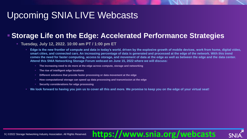# Upcoming SNIA LIVE Webcasts

#### **Example 2 Storage Life on the Edge: Accelerated Performance Strategies**

#### ▪ **Tuesday, July 12, 2022. 10:00 am PT / 1:00 pm ET**

▪ **Edge is the new frontier of compute and data in today's world, driven by the explosive growth of mobile devices, work from home, digital video, smart cities, and connected cars. An increasing percentage of data is generated and processed at the edge of the network. With this trend comes the need for faster computing, access to storage, and movement of data at the edge as well as between the edge and the data center. Attend this SNIA Networking Storage Forum webcast on June 15, 2022 where we will discuss:**

**https://www.snia.org/webcasts**

- The increasing need to do more at the edge across compute, storage and networking
- **The rise of intelligent edge locations**
- **Different solutions that provide faster processing or data movement at the edge**
- **EXED How computational storage can speed up data processing and transmission at the edge**
- **Security considerations for edge processing**
- **We look forward to having you join us to cover all this and more. We promise to keep you on the edge of your virtual seat!**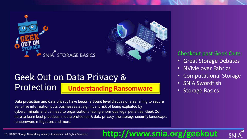



#### **Geek Out on Data Privacy & Understanding Ransomware | The Storage Basics** Protection

Data protection and data privacy have become Board level discussions as failing to secure sensitive information puts businesses at significant risk of being exploited by cybercriminals, and can lead to organizations facing enormous legal penalties. Geek Out here to learn best practices in data protection & data privacy, the storage security landscape, ransomware mitigation, and more.

#### Checkout past Geek Outs:

- Great Storage Debates
- NVMe over Fabrics
- Computational Storage
- SNIA Swordfish
- 

## 10 | ©2022 Storage Networking Industry Association. All Rights Reserved. **http://www.snia.org/geekout**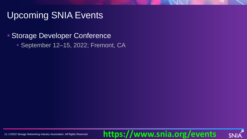## Upcoming SNIA Events

#### ■ Storage Developer Conference

**Beptember 12–15, 2022; Fremont, CA.** 

## **https://www.snia.org/events**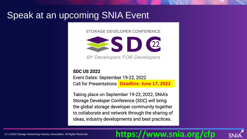## Speak at an upcoming SNIA Event

STORAGE DEVELOPER CONFERENCE



**BY Developers FOR Developers** 

**SDC US 2022** Event Dates: September 19-22, 2022 **Deadline: June 17, 2022**

Taking place on September 19-22, 2022, SNIA's Storage Developer Conference (SDC) will bring the global storage developer community together to collaborate and network through the sharing of ideas, industry developments and best practices.

## **https://www.snia.org/cfp**